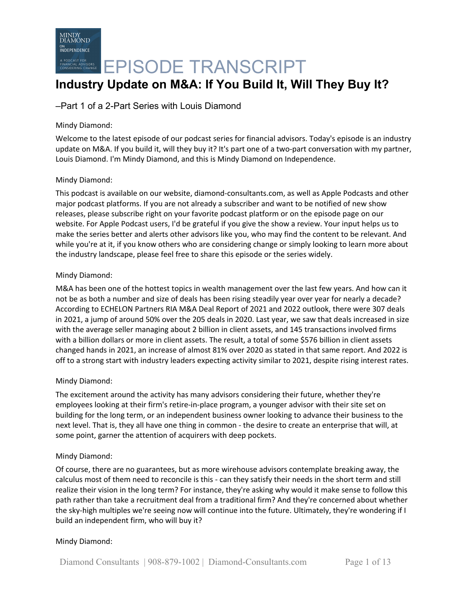

## **Industry Update on M&A: If You Build It, Will They Buy It?**

### –Part 1 of a 2-Part Series with Louis Diamond

### Mindy Diamond:

Welcome to the latest episode of our podcast series for financial advisors. Today's episode is an industry update on M&A. If you build it, will they buy it? It's part one of a two-part conversation with my partner, Louis Diamond. I'm Mindy Diamond, and this is Mindy Diamond on Independence.

### Mindy Diamond:

This podcast is available on our website, diamond-consultants.com, as well as Apple Podcasts and other major podcast platforms. If you are not already a subscriber and want to be notified of new show releases, please subscribe right on your favorite podcast platform or on the episode page on our website. For Apple Podcast users, I'd be grateful if you give the show a review. Your input helps us to make the series better and alerts other advisors like you, who may find the content to be relevant. And while you're at it, if you know others who are considering change or simply looking to learn more about the industry landscape, please feel free to share this episode or the series widely.

### Mindy Diamond:

M&A has been one of the hottest topics in wealth management over the last few years. And how can it not be as both a number and size of deals has been rising steadily year over year for nearly a decade? According to ECHELON Partners RIA M&A Deal Report of 2021 and 2022 outlook, there were 307 deals in 2021, a jump of around 50% over the 205 deals in 2020. Last year, we saw that deals increased in size with the average seller managing about 2 billion in client assets, and 145 transactions involved firms with a billion dollars or more in client assets. The result, a total of some \$576 billion in client assets changed hands in 2021, an increase of almost 81% over 2020 as stated in that same report. And 2022 is off to a strong start with industry leaders expecting activity similar to 2021, despite rising interest rates.

### Mindy Diamond:

The excitement around the activity has many advisors considering their future, whether they're employees looking at their firm's retire-in-place program, a younger advisor with their site set on building for the long term, or an independent business owner looking to advance their business to the next level. That is, they all have one thing in common - the desire to create an enterprise that will, at some point, garner the attention of acquirers with deep pockets.

### Mindy Diamond:

Of course, there are no guarantees, but as more wirehouse advisors contemplate breaking away, the calculus most of them need to reconcile is this - can they satisfy their needs in the short term and still realize their vision in the long term? For instance, they're asking why would it make sense to follow this path rather than take a recruitment deal from a traditional firm? And they're concerned about whether the sky-high multiples we're seeing now will continue into the future. Ultimately, they're wondering if I build an independent firm, who will buy it?

### Mindy Diamond: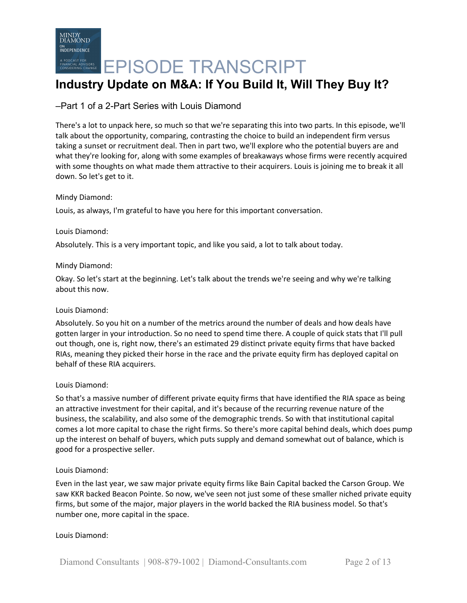# **Industry Update on M&A: If You Build It, Will They Buy It?**

## –Part 1 of a 2-Part Series with Louis Diamond

There's a lot to unpack here, so much so that we're separating this into two parts. In this episode, we'll talk about the opportunity, comparing, contrasting the choice to build an independent firm versus taking a sunset or recruitment deal. Then in part two, we'll explore who the potential buyers are and what they're looking for, along with some examples of breakaways whose firms were recently acquired with some thoughts on what made them attractive to their acquirers. Louis is joining me to break it all down. So let's get to it.

### Mindy Diamond:

Louis, as always, I'm grateful to have you here for this important conversation.

### Louis Diamond:

Absolutely. This is a very important topic, and like you said, a lot to talk about today.

### Mindy Diamond:

Okay. So let's start at the beginning. Let's talk about the trends we're seeing and why we're talking about this now.

### Louis Diamond:

Absolutely. So you hit on a number of the metrics around the number of deals and how deals have gotten larger in your introduction. So no need to spend time there. A couple of quick stats that I'll pull out though, one is, right now, there's an estimated 29 distinct private equity firms that have backed RIAs, meaning they picked their horse in the race and the private equity firm has deployed capital on behalf of these RIA acquirers.

### Louis Diamond:

So that's a massive number of different private equity firms that have identified the RIA space as being an attractive investment for their capital, and it's because of the recurring revenue nature of the business, the scalability, and also some of the demographic trends. So with that institutional capital comes a lot more capital to chase the right firms. So there's more capital behind deals, which does pump up the interest on behalf of buyers, which puts supply and demand somewhat out of balance, which is good for a prospective seller.

### Louis Diamond:

Even in the last year, we saw major private equity firms like Bain Capital backed the Carson Group. We saw KKR backed Beacon Pointe. So now, we've seen not just some of these smaller niched private equity firms, but some of the major, major players in the world backed the RIA business model. So that's number one, more capital in the space.

### Louis Diamond: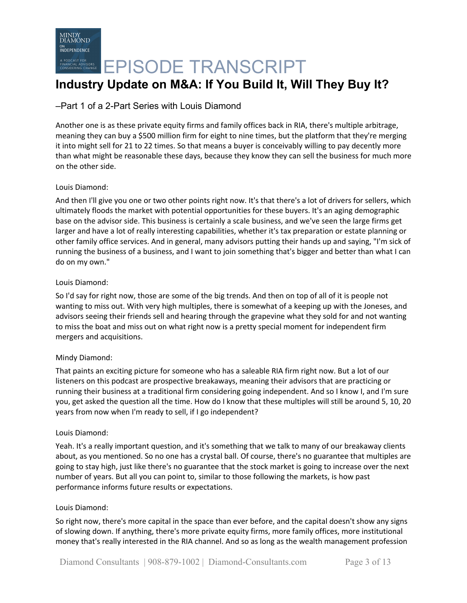# **EPISODE TRANSCRIPT**

# **Industry Update on M&A: If You Build It, Will They Buy It?**

## –Part 1 of a 2-Part Series with Louis Diamond

Another one is as these private equity firms and family offices back in RIA, there's multiple arbitrage, meaning they can buy a \$500 million firm for eight to nine times, but the platform that they're merging it into might sell for 21 to 22 times. So that means a buyer is conceivably willing to pay decently more than what might be reasonable these days, because they know they can sell the business for much more on the other side.

### Louis Diamond:

And then I'll give you one or two other points right now. It's that there's a lot of drivers for sellers, which ultimately floods the market with potential opportunities for these buyers. It's an aging demographic base on the advisor side. This business is certainly a scale business, and we've seen the large firms get larger and have a lot of really interesting capabilities, whether it's tax preparation or estate planning or other family office services. And in general, many advisors putting their hands up and saying, "I'm sick of running the business of a business, and I want to join something that's bigger and better than what I can do on my own."

### Louis Diamond:

So I'd say for right now, those are some of the big trends. And then on top of all of it is people not wanting to miss out. With very high multiples, there is somewhat of a keeping up with the Joneses, and advisors seeing their friends sell and hearing through the grapevine what they sold for and not wanting to miss the boat and miss out on what right now is a pretty special moment for independent firm mergers and acquisitions.

### Mindy Diamond:

That paints an exciting picture for someone who has a saleable RIA firm right now. But a lot of our listeners on this podcast are prospective breakaways, meaning their advisors that are practicing or running their business at a traditional firm considering going independent. And so I know I, and I'm sure you, get asked the question all the time. How do I know that these multiples will still be around 5, 10, 20 years from now when I'm ready to sell, if I go independent?

### Louis Diamond:

Yeah. It's a really important question, and it's something that we talk to many of our breakaway clients about, as you mentioned. So no one has a crystal ball. Of course, there's no guarantee that multiples are going to stay high, just like there's no guarantee that the stock market is going to increase over the next number of years. But all you can point to, similar to those following the markets, is how past performance informs future results or expectations.

### Louis Diamond:

So right now, there's more capital in the space than ever before, and the capital doesn't show any signs of slowing down. If anything, there's more private equity firms, more family offices, more institutional money that's really interested in the RIA channel. And so as long as the wealth management profession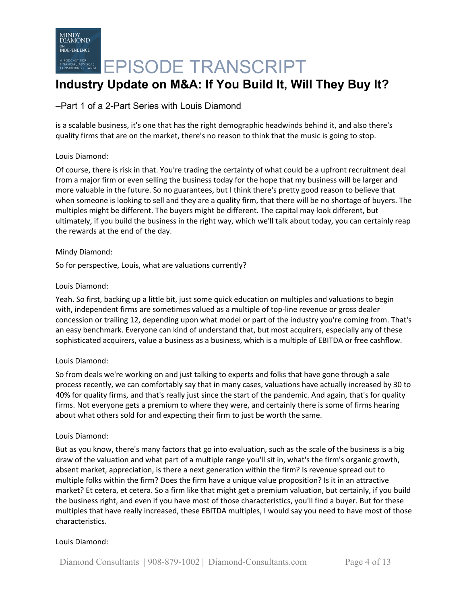## –Part 1 of a 2-Part Series with Louis Diamond

is a scalable business, it's one that has the right demographic headwinds behind it, and also there's quality firms that are on the market, there's no reason to think that the music is going to stop.

### Louis Diamond:

Of course, there is risk in that. You're trading the certainty of what could be a upfront recruitment deal from a major firm or even selling the business today for the hope that my business will be larger and more valuable in the future. So no guarantees, but I think there's pretty good reason to believe that when someone is looking to sell and they are a quality firm, that there will be no shortage of buyers. The multiples might be different. The buyers might be different. The capital may look different, but ultimately, if you build the business in the right way, which we'll talk about today, you can certainly reap the rewards at the end of the day.

### Mindy Diamond:

So for perspective, Louis, what are valuations currently?

### Louis Diamond:

Yeah. So first, backing up a little bit, just some quick education on multiples and valuations to begin with, independent firms are sometimes valued as a multiple of top-line revenue or gross dealer concession or trailing 12, depending upon what model or part of the industry you're coming from. That's an easy benchmark. Everyone can kind of understand that, but most acquirers, especially any of these sophisticated acquirers, value a business as a business, which is a multiple of EBITDA or free cashflow.

### Louis Diamond:

So from deals we're working on and just talking to experts and folks that have gone through a sale process recently, we can comfortably say that in many cases, valuations have actually increased by 30 to 40% for quality firms, and that's really just since the start of the pandemic. And again, that's for quality firms. Not everyone gets a premium to where they were, and certainly there is some of firms hearing about what others sold for and expecting their firm to just be worth the same.

### Louis Diamond:

But as you know, there's many factors that go into evaluation, such as the scale of the business is a big draw of the valuation and what part of a multiple range you'll sit in, what's the firm's organic growth, absent market, appreciation, is there a next generation within the firm? Is revenue spread out to multiple folks within the firm? Does the firm have a unique value proposition? Is it in an attractive market? Et cetera, et cetera. So a firm like that might get a premium valuation, but certainly, if you build the business right, and even if you have most of those characteristics, you'll find a buyer. But for these multiples that have really increased, these EBITDA multiples, I would say you need to have most of those characteristics.

### Louis Diamond: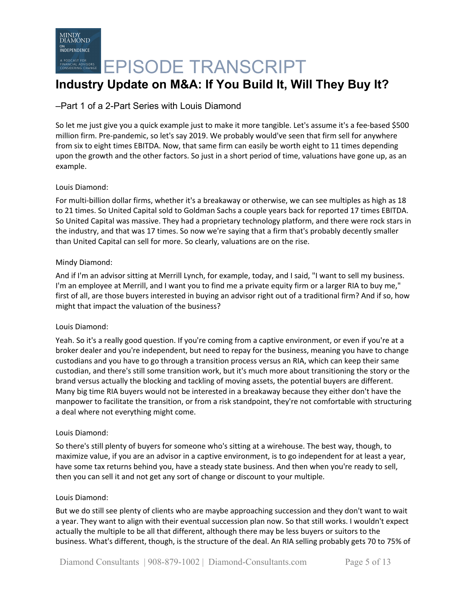# **Industry Update on M&A: If You Build It, Will They Buy It?**

## –Part 1 of a 2-Part Series with Louis Diamond

So let me just give you a quick example just to make it more tangible. Let's assume it's a fee-based \$500 million firm. Pre-pandemic, so let's say 2019. We probably would've seen that firm sell for anywhere from six to eight times EBITDA. Now, that same firm can easily be worth eight to 11 times depending upon the growth and the other factors. So just in a short period of time, valuations have gone up, as an example.

### Louis Diamond:

For multi-billion dollar firms, whether it's a breakaway or otherwise, we can see multiples as high as 18 to 21 times. So United Capital sold to Goldman Sachs a couple years back for reported 17 times EBITDA. So United Capital was massive. They had a proprietary technology platform, and there were rock stars in the industry, and that was 17 times. So now we're saying that a firm that's probably decently smaller than United Capital can sell for more. So clearly, valuations are on the rise.

### Mindy Diamond:

And if I'm an advisor sitting at Merrill Lynch, for example, today, and I said, "I want to sell my business. I'm an employee at Merrill, and I want you to find me a private equity firm or a larger RIA to buy me," first of all, are those buyers interested in buying an advisor right out of a traditional firm? And if so, how might that impact the valuation of the business?

### Louis Diamond:

Yeah. So it's a really good question. If you're coming from a captive environment, or even if you're at a broker dealer and you're independent, but need to repay for the business, meaning you have to change custodians and you have to go through a transition process versus an RIA, which can keep their same custodian, and there's still some transition work, but it's much more about transitioning the story or the brand versus actually the blocking and tackling of moving assets, the potential buyers are different. Many big time RIA buyers would not be interested in a breakaway because they either don't have the manpower to facilitate the transition, or from a risk standpoint, they're not comfortable with structuring a deal where not everything might come.

### Louis Diamond:

So there's still plenty of buyers for someone who's sitting at a wirehouse. The best way, though, to maximize value, if you are an advisor in a captive environment, is to go independent for at least a year, have some tax returns behind you, have a steady state business. And then when you're ready to sell, then you can sell it and not get any sort of change or discount to your multiple.

### Louis Diamond:

But we do still see plenty of clients who are maybe approaching succession and they don't want to wait a year. They want to align with their eventual succession plan now. So that still works. I wouldn't expect actually the multiple to be all that different, although there may be less buyers or suitors to the business. What's different, though, is the structure of the deal. An RIA selling probably gets 70 to 75% of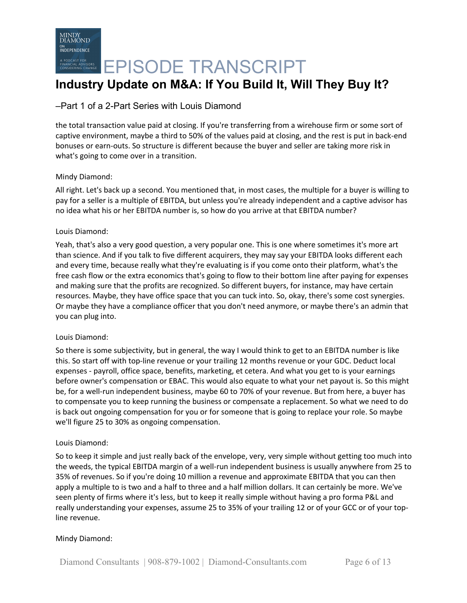# **Industry Update on M&A: If You Build It, Will They Buy It?**

### –Part 1 of a 2-Part Series with Louis Diamond

the total transaction value paid at closing. If you're transferring from a wirehouse firm or some sort of captive environment, maybe a third to 50% of the values paid at closing, and the rest is put in back-end bonuses or earn-outs. So structure is different because the buyer and seller are taking more risk in what's going to come over in a transition.

### Mindy Diamond:

All right. Let's back up a second. You mentioned that, in most cases, the multiple for a buyer is willing to pay for a seller is a multiple of EBITDA, but unless you're already independent and a captive advisor has no idea what his or her EBITDA number is, so how do you arrive at that EBITDA number?

### Louis Diamond:

Yeah, that's also a very good question, a very popular one. This is one where sometimes it's more art than science. And if you talk to five different acquirers, they may say your EBITDA looks different each and every time, because really what they're evaluating is if you come onto their platform, what's the free cash flow or the extra economics that's going to flow to their bottom line after paying for expenses and making sure that the profits are recognized. So different buyers, for instance, may have certain resources. Maybe, they have office space that you can tuck into. So, okay, there's some cost synergies. Or maybe they have a compliance officer that you don't need anymore, or maybe there's an admin that you can plug into.

### Louis Diamond:

So there is some subjectivity, but in general, the way I would think to get to an EBITDA number is like this. So start off with top-line revenue or your trailing 12 months revenue or your GDC. Deduct local expenses - payroll, office space, benefits, marketing, et cetera. And what you get to is your earnings before owner's compensation or EBAC. This would also equate to what your net payout is. So this might be, for a well-run independent business, maybe 60 to 70% of your revenue. But from here, a buyer has to compensate you to keep running the business or compensate a replacement. So what we need to do is back out ongoing compensation for you or for someone that is going to replace your role. So maybe we'll figure 25 to 30% as ongoing compensation.

### Louis Diamond:

So to keep it simple and just really back of the envelope, very, very simple without getting too much into the weeds, the typical EBITDA margin of a well-run independent business is usually anywhere from 25 to 35% of revenues. So if you're doing 10 million a revenue and approximate EBITDA that you can then apply a multiple to is two and a half to three and a half million dollars. It can certainly be more. We've seen plenty of firms where it's less, but to keep it really simple without having a pro forma P&L and really understanding your expenses, assume 25 to 35% of your trailing 12 or of your GCC or of your topline revenue.

### Mindy Diamond: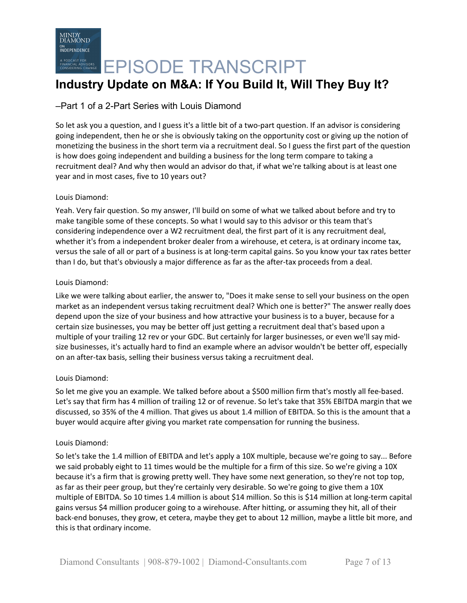# **Industry Update on M&A: If You Build It, Will They Buy It?**

## –Part 1 of a 2-Part Series with Louis Diamond

So let ask you a question, and I guess it's a little bit of a two-part question. If an advisor is considering going independent, then he or she is obviously taking on the opportunity cost or giving up the notion of monetizing the business in the short term via a recruitment deal. So I guess the first part of the question is how does going independent and building a business for the long term compare to taking a recruitment deal? And why then would an advisor do that, if what we're talking about is at least one year and in most cases, five to 10 years out?

### Louis Diamond:

Yeah. Very fair question. So my answer, I'll build on some of what we talked about before and try to make tangible some of these concepts. So what I would say to this advisor or this team that's considering independence over a W2 recruitment deal, the first part of it is any recruitment deal, whether it's from a independent broker dealer from a wirehouse, et cetera, is at ordinary income tax, versus the sale of all or part of a business is at long-term capital gains. So you know your tax rates better than I do, but that's obviously a major difference as far as the after-tax proceeds from a deal.

### Louis Diamond:

Like we were talking about earlier, the answer to, "Does it make sense to sell your business on the open market as an independent versus taking recruitment deal? Which one is better?" The answer really does depend upon the size of your business and how attractive your business is to a buyer, because for a certain size businesses, you may be better off just getting a recruitment deal that's based upon a multiple of your trailing 12 rev or your GDC. But certainly for larger businesses, or even we'll say midsize businesses, it's actually hard to find an example where an advisor wouldn't be better off, especially on an after-tax basis, selling their business versus taking a recruitment deal.

### Louis Diamond:

So let me give you an example. We talked before about a \$500 million firm that's mostly all fee-based. Let's say that firm has 4 million of trailing 12 or of revenue. So let's take that 35% EBITDA margin that we discussed, so 35% of the 4 million. That gives us about 1.4 million of EBITDA. So this is the amount that a buyer would acquire after giving you market rate compensation for running the business.

### Louis Diamond:

So let's take the 1.4 million of EBITDA and let's apply a 10X multiple, because we're going to say... Before we said probably eight to 11 times would be the multiple for a firm of this size. So we're giving a 10X because it's a firm that is growing pretty well. They have some next generation, so they're not top top, as far as their peer group, but they're certainly very desirable. So we're going to give them a 10X multiple of EBITDA. So 10 times 1.4 million is about \$14 million. So this is \$14 million at long-term capital gains versus \$4 million producer going to a wirehouse. After hitting, or assuming they hit, all of their back-end bonuses, they grow, et cetera, maybe they get to about 12 million, maybe a little bit more, and this is that ordinary income.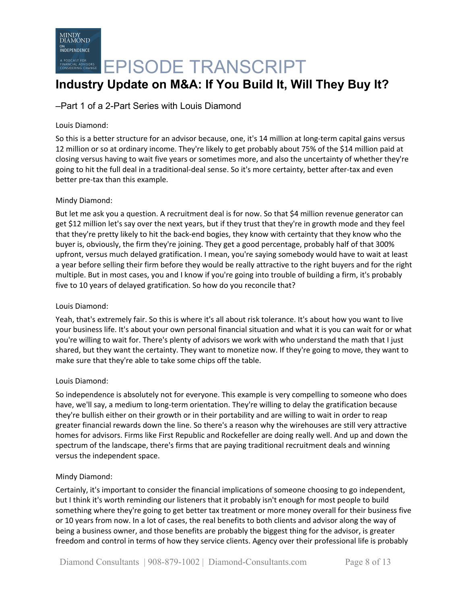

## **Industry Update on M&A: If You Build It, Will They Buy It?**

### –Part 1 of a 2-Part Series with Louis Diamond

### Louis Diamond:

So this is a better structure for an advisor because, one, it's 14 million at long-term capital gains versus 12 million or so at ordinary income. They're likely to get probably about 75% of the \$14 million paid at closing versus having to wait five years or sometimes more, and also the uncertainty of whether they're going to hit the full deal in a traditional-deal sense. So it's more certainty, better after-tax and even better pre-tax than this example.

### Mindy Diamond:

But let me ask you a question. A recruitment deal is for now. So that \$4 million revenue generator can get \$12 million let's say over the next years, but if they trust that they're in growth mode and they feel that they're pretty likely to hit the back-end bogies, they know with certainty that they know who the buyer is, obviously, the firm they're joining. They get a good percentage, probably half of that 300% upfront, versus much delayed gratification. I mean, you're saying somebody would have to wait at least a year before selling their firm before they would be really attractive to the right buyers and for the right multiple. But in most cases, you and I know if you're going into trouble of building a firm, it's probably five to 10 years of delayed gratification. So how do you reconcile that?

#### Louis Diamond:

Yeah, that's extremely fair. So this is where it's all about risk tolerance. It's about how you want to live your business life. It's about your own personal financial situation and what it is you can wait for or what you're willing to wait for. There's plenty of advisors we work with who understand the math that I just shared, but they want the certainty. They want to monetize now. If they're going to move, they want to make sure that they're able to take some chips off the table.

### Louis Diamond:

So independence is absolutely not for everyone. This example is very compelling to someone who does have, we'll say, a medium to long-term orientation. They're willing to delay the gratification because they're bullish either on their growth or in their portability and are willing to wait in order to reap greater financial rewards down the line. So there's a reason why the wirehouses are still very attractive homes for advisors. Firms like First Republic and Rockefeller are doing really well. And up and down the spectrum of the landscape, there's firms that are paying traditional recruitment deals and winning versus the independent space.

### Mindy Diamond:

Certainly, it's important to consider the financial implications of someone choosing to go independent, but I think it's worth reminding our listeners that it probably isn't enough for most people to build something where they're going to get better tax treatment or more money overall for their business five or 10 years from now. In a lot of cases, the real benefits to both clients and advisor along the way of being a business owner, and those benefits are probably the biggest thing for the advisor, is greater freedom and control in terms of how they service clients. Agency over their professional life is probably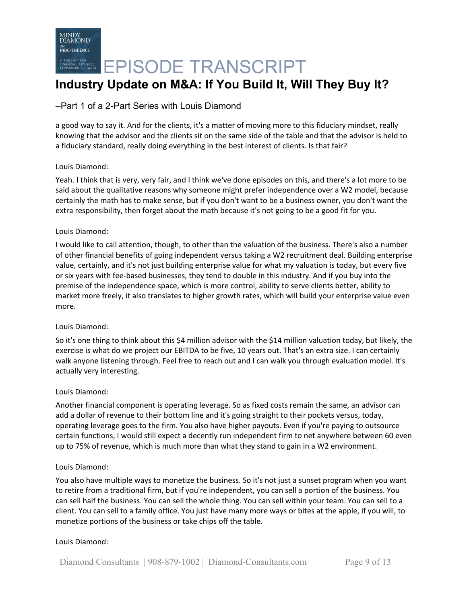# **Industry Update on M&A: If You Build It, Will They Buy It?**

## –Part 1 of a 2-Part Series with Louis Diamond

a good way to say it. And for the clients, it's a matter of moving more to this fiduciary mindset, really knowing that the advisor and the clients sit on the same side of the table and that the advisor is held to a fiduciary standard, really doing everything in the best interest of clients. Is that fair?

### Louis Diamond:

Yeah. I think that is very, very fair, and I think we've done episodes on this, and there's a lot more to be said about the qualitative reasons why someone might prefer independence over a W2 model, because certainly the math has to make sense, but if you don't want to be a business owner, you don't want the extra responsibility, then forget about the math because it's not going to be a good fit for you.

### Louis Diamond:

I would like to call attention, though, to other than the valuation of the business. There's also a number of other financial benefits of going independent versus taking a W2 recruitment deal. Building enterprise value, certainly, and it's not just building enterprise value for what my valuation is today, but every five or six years with fee-based businesses, they tend to double in this industry. And if you buy into the premise of the independence space, which is more control, ability to serve clients better, ability to market more freely, it also translates to higher growth rates, which will build your enterprise value even more.

### Louis Diamond:

So it's one thing to think about this \$4 million advisor with the \$14 million valuation today, but likely, the exercise is what do we project our EBITDA to be five, 10 years out. That's an extra size. I can certainly walk anyone listening through. Feel free to reach out and I can walk you through evaluation model. It's actually very interesting.

### Louis Diamond:

Another financial component is operating leverage. So as fixed costs remain the same, an advisor can add a dollar of revenue to their bottom line and it's going straight to their pockets versus, today, operating leverage goes to the firm. You also have higher payouts. Even if you're paying to outsource certain functions, I would still expect a decently run independent firm to net anywhere between 60 even up to 75% of revenue, which is much more than what they stand to gain in a W2 environment.

### Louis Diamond:

You also have multiple ways to monetize the business. So it's not just a sunset program when you want to retire from a traditional firm, but if you're independent, you can sell a portion of the business. You can sell half the business. You can sell the whole thing. You can sell within your team. You can sell to a client. You can sell to a family office. You just have many more ways or bites at the apple, if you will, to monetize portions of the business or take chips off the table.

### Louis Diamond: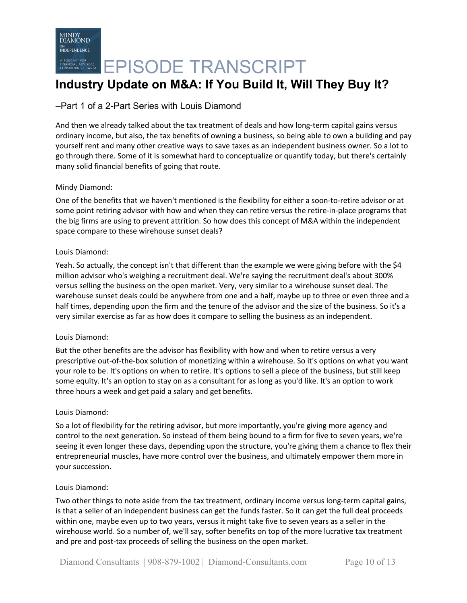# **Industry Update on M&A: If You Build It, Will They Buy It?**

### –Part 1 of a 2-Part Series with Louis Diamond

And then we already talked about the tax treatment of deals and how long-term capital gains versus ordinary income, but also, the tax benefits of owning a business, so being able to own a building and pay yourself rent and many other creative ways to save taxes as an independent business owner. So a lot to go through there. Some of it is somewhat hard to conceptualize or quantify today, but there's certainly many solid financial benefits of going that route.

### Mindy Diamond:

One of the benefits that we haven't mentioned is the flexibility for either a soon-to-retire advisor or at some point retiring advisor with how and when they can retire versus the retire-in-place programs that the big firms are using to prevent attrition. So how does this concept of M&A within the independent space compare to these wirehouse sunset deals?

### Louis Diamond:

Yeah. So actually, the concept isn't that different than the example we were giving before with the \$4 million advisor who's weighing a recruitment deal. We're saying the recruitment deal's about 300% versus selling the business on the open market. Very, very similar to a wirehouse sunset deal. The warehouse sunset deals could be anywhere from one and a half, maybe up to three or even three and a half times, depending upon the firm and the tenure of the advisor and the size of the business. So it's a very similar exercise as far as how does it compare to selling the business as an independent.

### Louis Diamond:

But the other benefits are the advisor has flexibility with how and when to retire versus a very prescriptive out-of-the-box solution of monetizing within a wirehouse. So it's options on what you want your role to be. It's options on when to retire. It's options to sell a piece of the business, but still keep some equity. It's an option to stay on as a consultant for as long as you'd like. It's an option to work three hours a week and get paid a salary and get benefits.

### Louis Diamond:

So a lot of flexibility for the retiring advisor, but more importantly, you're giving more agency and control to the next generation. So instead of them being bound to a firm for five to seven years, we're seeing it even longer these days, depending upon the structure, you're giving them a chance to flex their entrepreneurial muscles, have more control over the business, and ultimately empower them more in your succession.

### Louis Diamond:

Two other things to note aside from the tax treatment, ordinary income versus long-term capital gains, is that a seller of an independent business can get the funds faster. So it can get the full deal proceeds within one, maybe even up to two years, versus it might take five to seven years as a seller in the wirehouse world. So a number of, we'll say, softer benefits on top of the more lucrative tax treatment and pre and post-tax proceeds of selling the business on the open market.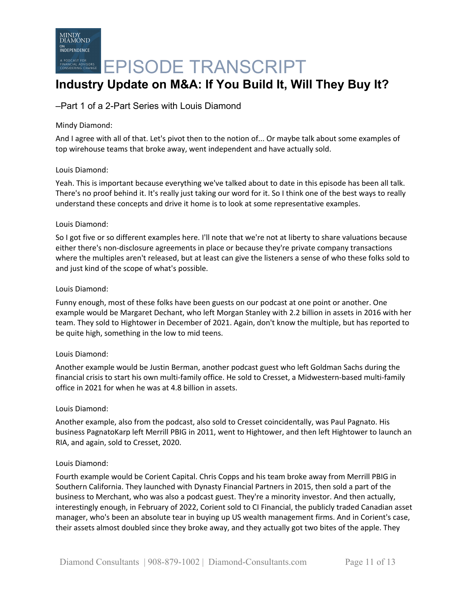

# **EPISODE TRANSCRIPT**

## **Industry Update on M&A: If You Build It, Will They Buy It?**

### –Part 1 of a 2-Part Series with Louis Diamond

### Mindy Diamond:

And I agree with all of that. Let's pivot then to the notion of... Or maybe talk about some examples of top wirehouse teams that broke away, went independent and have actually sold.

### Louis Diamond:

Yeah. This is important because everything we've talked about to date in this episode has been all talk. There's no proof behind it. It's really just taking our word for it. So I think one of the best ways to really understand these concepts and drive it home is to look at some representative examples.

### Louis Diamond:

So I got five or so different examples here. I'll note that we're not at liberty to share valuations because either there's non-disclosure agreements in place or because they're private company transactions where the multiples aren't released, but at least can give the listeners a sense of who these folks sold to and just kind of the scope of what's possible.

### Louis Diamond:

Funny enough, most of these folks have been guests on our podcast at one point or another. One example would be Margaret Dechant, who left Morgan Stanley with 2.2 billion in assets in 2016 with her team. They sold to Hightower in December of 2021. Again, don't know the multiple, but has reported to be quite high, something in the low to mid teens.

### Louis Diamond:

Another example would be Justin Berman, another podcast guest who left Goldman Sachs during the financial crisis to start his own multi-family office. He sold to Cresset, a Midwestern-based multi-family office in 2021 for when he was at 4.8 billion in assets.

### Louis Diamond:

Another example, also from the podcast, also sold to Cresset coincidentally, was Paul Pagnato. His business PagnatoKarp left Merrill PBIG in 2011, went to Hightower, and then left Hightower to launch an RIA, and again, sold to Cresset, 2020.

### Louis Diamond:

Fourth example would be Corient Capital. Chris Copps and his team broke away from Merrill PBIG in Southern California. They launched with Dynasty Financial Partners in 2015, then sold a part of the business to Merchant, who was also a podcast guest. They're a minority investor. And then actually, interestingly enough, in February of 2022, Corient sold to CI Financial, the publicly traded Canadian asset manager, who's been an absolute tear in buying up US wealth management firms. And in Corient's case, their assets almost doubled since they broke away, and they actually got two bites of the apple. They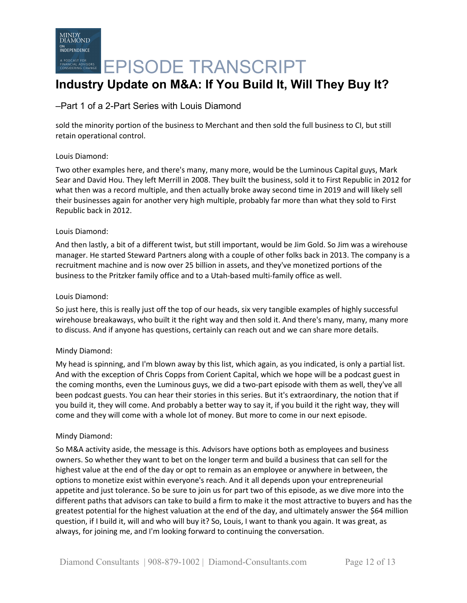# **Industry Update on M&A: If You Build It, Will They Buy It?**

### –Part 1 of a 2-Part Series with Louis Diamond

sold the minority portion of the business to Merchant and then sold the full business to CI, but still retain operational control.

### Louis Diamond:

Two other examples here, and there's many, many more, would be the Luminous Capital guys, Mark Sear and David Hou. They left Merrill in 2008. They built the business, sold it to First Republic in 2012 for what then was a record multiple, and then actually broke away second time in 2019 and will likely sell their businesses again for another very high multiple, probably far more than what they sold to First Republic back in 2012.

### Louis Diamond:

And then lastly, a bit of a different twist, but still important, would be Jim Gold. So Jim was a wirehouse manager. He started Steward Partners along with a couple of other folks back in 2013. The company is a recruitment machine and is now over 25 billion in assets, and they've monetized portions of the business to the Pritzker family office and to a Utah-based multi-family office as well.

### Louis Diamond:

So just here, this is really just off the top of our heads, six very tangible examples of highly successful wirehouse breakaways, who built it the right way and then sold it. And there's many, many, many more to discuss. And if anyone has questions, certainly can reach out and we can share more details.

### Mindy Diamond:

My head is spinning, and I'm blown away by this list, which again, as you indicated, is only a partial list. And with the exception of Chris Copps from Corient Capital, which we hope will be a podcast guest in the coming months, even the Luminous guys, we did a two-part episode with them as well, they've all been podcast guests. You can hear their stories in this series. But it's extraordinary, the notion that if you build it, they will come. And probably a better way to say it, if you build it the right way, they will come and they will come with a whole lot of money. But more to come in our next episode.

### Mindy Diamond:

So M&A activity aside, the message is this. Advisors have options both as employees and business owners. So whether they want to bet on the longer term and build a business that can sell for the highest value at the end of the day or opt to remain as an employee or anywhere in between, the options to monetize exist within everyone's reach. And it all depends upon your entrepreneurial appetite and just tolerance. So be sure to join us for part two of this episode, as we dive more into the different paths that advisors can take to build a firm to make it the most attractive to buyers and has the greatest potential for the highest valuation at the end of the day, and ultimately answer the \$64 million question, if I build it, will and who will buy it? So, Louis, I want to thank you again. It was great, as always, for joining me, and I'm looking forward to continuing the conversation.